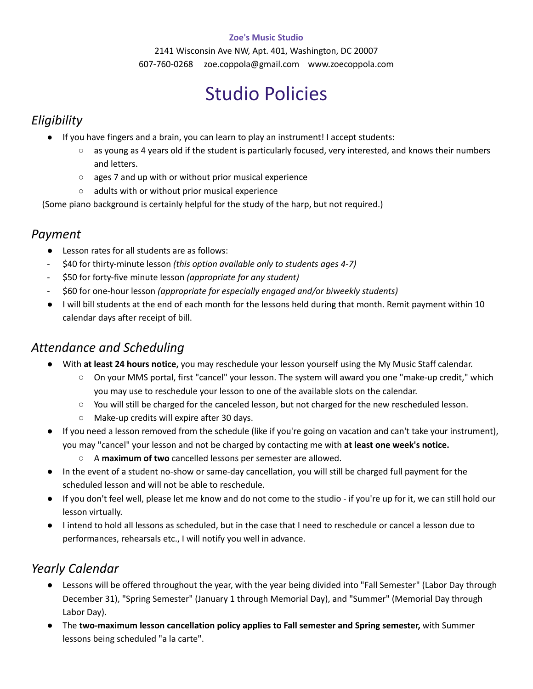#### **Zoe's Music Studio**

2141 Wisconsin Ave NW, Apt. 401, Washington, DC 20007 607-760-0268 zoe.coppola@gmail.com www.zoecoppola.com

# Studio Policies

# *Eligibility*

- If you have fingers and a brain, you can learn to play an instrument! I accept students:
	- $\circ$  as young as 4 years old if the student is particularly focused, very interested, and knows their numbers and letters.
	- ages 7 and up with or without prior musical experience
	- adults with or without prior musical experience

(Some piano background is certainly helpful for the study of the harp, but not required.)

#### *Payment*

- Lesson rates for all students are as follows:
- \$40 for thirty-minute lesson *(this option available only to students ages 4-7)*
- \$50 for forty-five minute lesson *(appropriate for any student)*
- \$60 for one-hour lesson *(appropriate for especially engaged and/or biweekly students)*
- I will bill students at the end of each month for the lessons held during that month. Remit payment within 10 calendar days after receipt of bill.

### *Attendance and Scheduling*

- With **at least 24 hours notice,** you may reschedule your lesson yourself using the My Music Staff calendar.
	- On your MMS portal, first "cancel" your lesson. The system will award you one "make-up credit," which you may use to reschedule your lesson to one of the available slots on the calendar.
	- You will still be charged for the canceled lesson, but not charged for the new rescheduled lesson.
	- Make-up credits will expire after 30 days.
- If you need a lesson removed from the schedule (like if you're going on vacation and can't take your instrument), you may "cancel" your lesson and not be charged by contacting me with **at least one week's notice.**
	- A **maximum of two** cancelled lessons per semester are allowed.
- In the event of a student no-show or same-day cancellation, you will still be charged full payment for the scheduled lesson and will not be able to reschedule.
- If you don't feel well, please let me know and do not come to the studio if you're up for it, we can still hold our lesson virtually.
- I intend to hold all lessons as scheduled, but in the case that I need to reschedule or cancel a lesson due to performances, rehearsals etc., I will notify you well in advance.

# *Yearly Calendar*

- Lessons will be offered throughout the year, with the year being divided into "Fall Semester" (Labor Day through December 31), "Spring Semester" (January 1 through Memorial Day), and "Summer" (Memorial Day through Labor Day).
- The **two-maximum lesson cancellation policy applies to Fall semester and Spring semester,** with Summer lessons being scheduled "a la carte".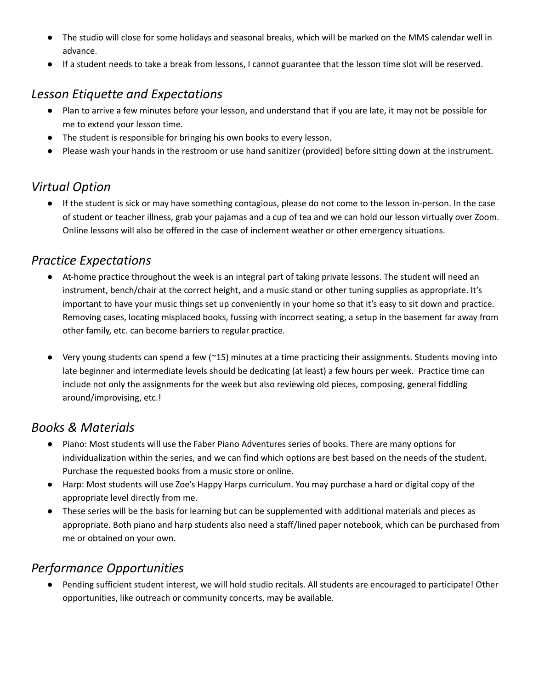- The studio will close for some holidays and seasonal breaks, which will be marked on the MMS calendar well in advance.
- If a student needs to take a break from lessons, I cannot guarantee that the lesson time slot will be reserved.

## *Lesson Etiquette and Expectations*

- Plan to arrive a few minutes before your lesson, and understand that if you are late, it may not be possible for me to extend your lesson time.
- The student is responsible for bringing his own books to every lesson.
- Please wash your hands in the restroom or use hand sanitizer (provided) before sitting down at the instrument.

# *Virtual Option*

● If the student is sick or may have something contagious, please do not come to the lesson in-person. In the case of student or teacher illness, grab your pajamas and a cup of tea and we can hold our lesson virtually over Zoom. Online lessons will also be offered in the case of inclement weather or other emergency situations.

#### *Practice Expectations*

- At-home practice throughout the week is an integral part of taking private lessons. The student will need an instrument, bench/chair at the correct height, and a music stand or other tuning supplies as appropriate. It's important to have your music things set up conveniently in your home so that it's easy to sit down and practice. Removing cases, locating misplaced books, fussing with incorrect seating, a setup in the basement far away from other family, etc. can become barriers to regular practice.
- Very young students can spend a few ( $\approx$ 15) minutes at a time practicing their assignments. Students moving into late beginner and intermediate levels should be dedicating (at least) a few hours per week. Practice time can include not only the assignments for the week but also reviewing old pieces, composing, general fiddling around/improvising, etc.!

### *Books & Materials*

- Piano: Most students will use the Faber Piano Adventures series of books. There are many options for individualization within the series, and we can find which options are best based on the needs of the student. Purchase the requested books from a music store or online.
- Harp: Most students will use Zoe's Happy Harps curriculum. You may purchase a hard or digital copy of the appropriate level directly from me.
- These series will be the basis for learning but can be supplemented with additional materials and pieces as appropriate. Both piano and harp students also need a staff/lined paper notebook, which can be purchased from me or obtained on your own.

# *Performance Opportunities*

Pending sufficient student interest, we will hold studio recitals. All students are encouraged to participate! Other opportunities, like outreach or community concerts, may be available.